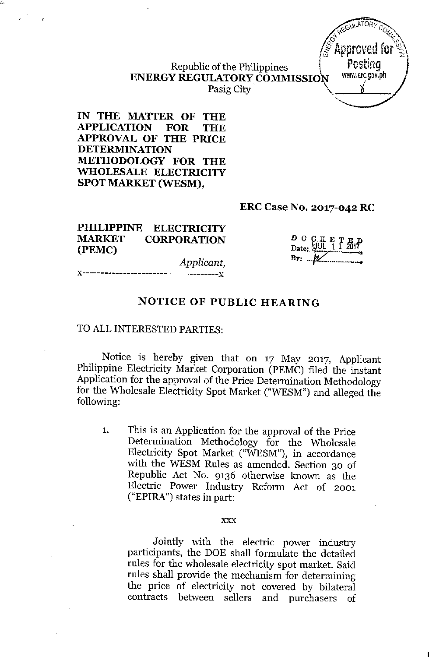Republic of the Philippines Prosting<br>
EXPROLLED A TODY COMMUTESTON FORWARD.CON.ph ENERGY REGULATORY COMMISSION WWW.erc.gov.pl

 $GULATOR$ -I., ~~ *'<;;Ot;:'*  $\left\langle \frac{\mathscr{F}}{\mathscr{F}}$  Approved for  $\mathscr{F}_2 \right\rangle$ 

I

**IN THE MATTER OF THE APPLICATION FOR THE APPROVAL OF THE PRICE DETERMINATION METHODOLOGY FOR THE WHOLESALE ELECTRICITY SPOT MARKET (WESM),**

**ERC Case No. 2017-042 RC**

#### **PHILIPPINE ELECTRICITY MARKET CORPORATION (PEMC)**

*Applicant,*

x----- ------ ----- ------- -------------- **x**

 $\begin{array}{c|c} \textbf{D} & \textbf{O} & \textbf{C} & \textbf{E} & \textbf{T} & \textbf{E} & \textbf{D} \\ \textbf{Date:} & \textbf{OUL} & \textbf{1} & \textbf{1} & \textbf{2017} \\ \end{array}$  $B_y: M$ 

#### **NOTICE OF PUBLIC HEARING**

## TO ALLINTERESTED PARTIES:

Notice is hereby given that on **17** May 2017, Applicant Philippine Electricity Market Corporation (PEMC) filed the instant Application for the approval of the Price Determination Methodology for the Wholesale Electricity Spot Market ("WESM") and alleged the following:

1. This is an Application for the approval of the Price Determination Methodology for the Wholesale Electricity Spot Market ("WESM"), in accordance with the WESM Rules as amended. Section 30 of Republic Act No. 9136 otherwise known as the Electric Power Industry Reform Act of 2001 ("EPIRA") states in part:

#### xxx

Jointly with the electric power industry participants, the DOE shall formulate the detailed rules for the wholesale electricity spot market. Said rules shall provide the mechanism for determining the price of electricity not covered by bilateral contracts between sellers and purchasers of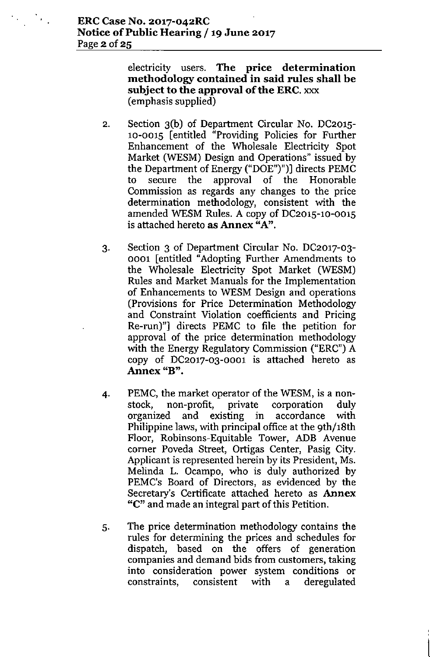Îκ.

electricity users. **The price determination methodology contained in said rules shall be subject to the approval** of the **ERC.**xxx (emphasis supplied)

- 2. Section 3(b) of Department Circular No. DC2015- 10-0015 [entitled "Providing Policies for Further Enhancement of the Wholesale Electricity Spot Market (WESM) Design and Operations" issued by the Department of Energy ("DOE")")] directs PEMC to secure the approval of the Honorable Commission as regards any changes to the price determination methodology, consistent with the amended WESM Rules. A copy of DC2015-1O-0015 is attached hereto **as Annex** "A".
- 3. Section 3 of Department Circular No. DC2017-03- 0001 [entitled "Adopting Further Amendments to the Wholesale Electricity Spot Market (WESM) Rules and Market Manuals for the Implementation of Enhancements to WESM Design and operations (Provisions for Price Determination Methodology and Constraint Violation coefficients and Pricing Re-run)"] directs PEMC to file the petition for approval of the price determination methodology with the Energy Regulatory Commission ("ERC") A copy of DC2017-03-0001 is attached hereto as **Annex "B".**
- 4. PEMC, the market operator of the WESM, is a nonstock, non-profit, private corporation duly organized and existing in accordance with Philippine laws, with principal office at the 9th/18th Floor, Robinsons-Equitable Tower, ADB Avenue corner Poveda Street, Ortigas Center, Pasig City. Applicant is represented herein by its President, Ms. Melinda L. Ocampo, who is duly authorized by PEMC's Board of Directors, as evidenced by the Secretary's Certificate attached hereto as **Annex** "C" and made an integral part of this Petition.
- 5. The price determination methodology contains the rules for determining the prices and schedules for dispatch, based on the offers of generation companies and demand bids from customers, taking into consideration power system conditions or constraints, consistent with a deregulated

I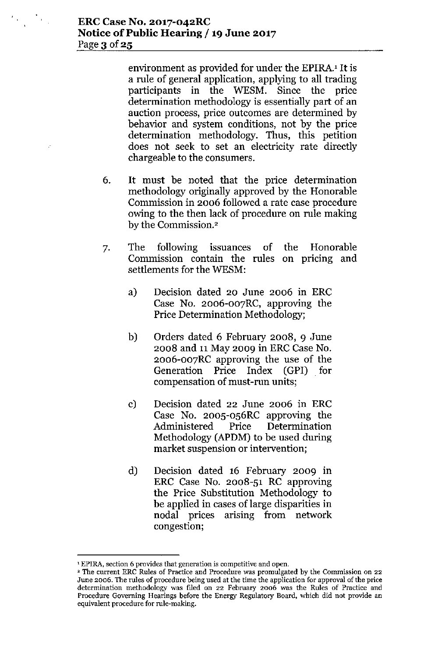environment as provided for under the EPIRA.' It is a rule of general application, applying to all trading participants in the WESM. Since the price determination methodology is essentially part of an auction process, price outcomes are determined by behavior and system conditions, not by the price determination methodology. Thus, this petition does not seek to set an electricity rate directly chargeable to the consumers.

- 6. It must be noted that the price determination methodology originally approved by the Honorable Commission in 2006 followed a rate case procedure owing to the then lack of procedure on rule making by the Commission.<sup>2</sup>
- 7. The following issuances of Commission contain the rules on pricing and settlements for the WESM: Honorable
	- a) Decision dated 20 June 2006 in ERC Case No. 2006-007RC, approving the Price Determination Methodology;
	- b) Orders dated 6 February 2008, 9 June 2008 and 11May 2009 in ERC Case No. 2006-007RC approving the use of the Generation Price Index (GPI) for compensation of must-run units;
	- c) Decision dated 22 June 2006 in ERC Case No. 2005-056RC approving the Administered Price Determination Methodology (APDM) to be used during market suspension or intervention;
	- d) Decision dated 16 February 2009 in ERC Case No. 2008-51 RC approving the Price Substitution Methodology to be applied in cases of large disparities in nodal prices arising from network congestion;

**<sup>1</sup>EPlRA, section 6 provides that generation is competitive and open.**

**<sup>2.</sup> The current ERe Rules of Practice and Procedure was promulgated by the Commission on 22 June 2006. The rules of procedure being used at the time the application for approval of the price determination methodology was filed on 22 February 2006 was the Rules of Practice and Procedure Governing Hearings before the Energy Regulatory Board, which did not provide an equivalent procedure for rule-making.**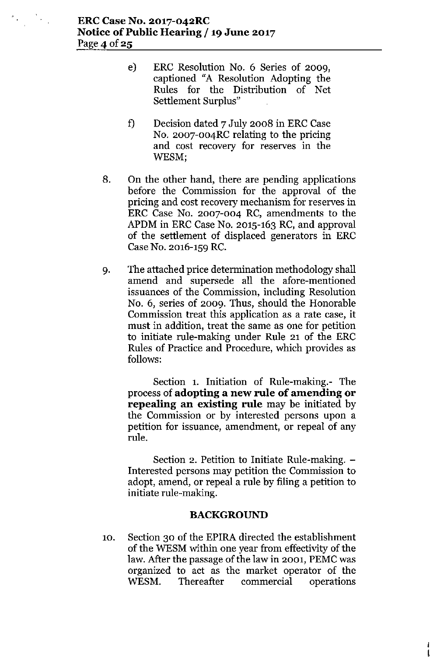$\mathbb{R}^n$ 

- e) ERC Resolution No. 6 Series of 2009, captioned "A Resolution Adopting the Rules for the Distribution of Net Settlement Surplus"
- f) Decision dated 7 July 2008 in ERC Case No. 2007-004RC relating to the pricing and cost recovery for reserves in the WESM;
- 8. On the other hand, there are pending applications before the Commission for the approval of the pricing and cost recovery mechanism for reserves in ERC Case No. 2007-004 RC, amendments to the APDM in ERC Case No. 2015-163 RC, and approval of the settlement of displaced generators in ERC Case No. 2016-159 RC.
- 9. The attached price determination methodology shall amend and supersede all the afore-mentioned issuances of the Commission, including Resolution No.6, series of 2009. Thus, should the Honorable Commission treat this application as a rate case, it must in addition, treat the same as one for petition to initiate rule-making under Rule 21 of the ERC Rules of Practice and Procedure, which provides as follows:

Section 1. Initiation of Rule-making.- The process of **adopting a new rule of amending or repealing an existing rule** may be initiated by the Commission or by interested persons upon a petition for issuance, amendment, or repeal of any rule.

Section 2. Petition to Initiate Rule-making. -Interested persons may petition the Commission to adopt, amend, or repeal a rule by filing a petition to initiate rule-making.

#### **BACKGROUND**

10. Section 30 of the EPIRA directed the establishment of the WESM within one year from effectivity of the law. After the passage of the law in 2001, PEMCwas organized to act as the market operator of the WESM. Thereafter commercial operations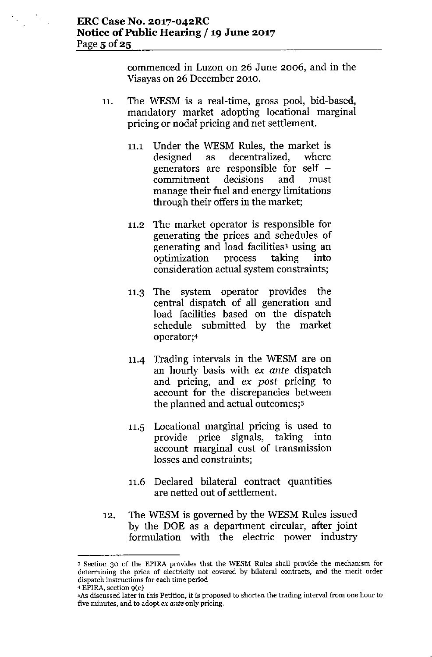commenced in Luzon on 26 June 2006, and in the Visayas on 26 December 2010.

- 11. The WESM is a real-time, gross pool, bid-based, mandatory market adopting locational marginal pricing or nodal pricing and net settlement.
	- 11.1 Under the WESM Rules, the market is designed as decentralized, where generators are responsible for self  $$ commitment decisions and must manage their fuel and energy limitations through their offers in the market;
	- 11.2 The market operator is responsible for generating the prices and schedules of generating and load facilities<sup>3</sup> using an optimization process taking into consideration actual system constraints;
	- 11.3 The system operator provides the central dispatch of all generation and load facilities based on the dispatch schedule submitted by the market operator;4
	- 11.4 Trading intervals in the WESM are on an hourly basis with *ex ante* dispatch and pricing, and *ex post* pricing to account for the discrepancies between the planned and actual outcomes;<sup>5</sup>
	- 11.5 Locational marginal pricing is used to provide price signals, taking into account marginal cost of transmission losses and constraints;
	- 11.6 Declared bilateral contract quantities are netted out of settlement.
- 12. The WESM is governed by the WESM Rules issued by the DOE as a department circular, after joint formulation with the electric power industry

<sup>3</sup> Section 30 of the EPIRA provides that the WESM Rules shall provide the mechanism for determining the price of electricity not covered by bilateral contracts, and the merit order dispatch instructions for each time period

 $4$  EPIRA, section  $9(e)$ 

sAs discussed later in this Petition, it is proposed to shorten the trading interval from one hour to five minutes, and to adopt ex *ante* only pricing.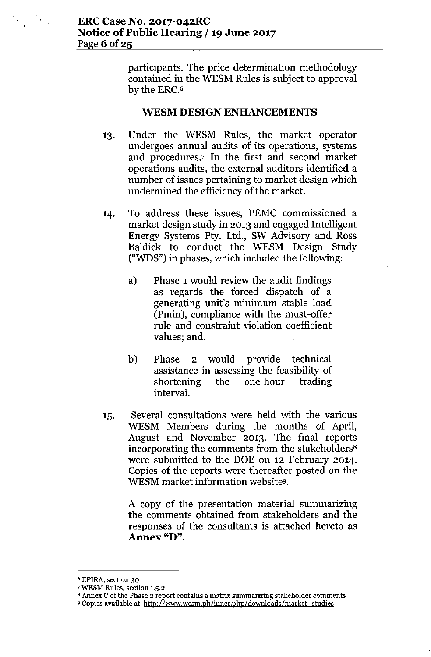participants. The price determination methodology contained in the WESM Rules is subject to approval by the ERC.6

#### **WESM DESIGN ENHANCEMENTS**

- 13. Under the WESM Rules, the market operator undergoes annual audits of its operations, systems and procedures.? **In** the first and second market operations audits, the external auditors identified a number of issues pertaining to market design which undermined the efficiency of the market.
- 14. To address these issues, PEMC commissioned a market design study in 2013 and engaged Intelligent Energy Systems Pty. Ltd., SW Advisory and Ross Baldick to conduct the WESM Design Study ("WDS") in phases, which included the following:
	- a) Phase 1would review the audit findings as regards the forced dispatch of a generating unit's minimum stable load (Pmin), compliance with the must-offer rule and constraint violation coefficient values; and.
	- b) Phase 2 would provide technical assistance in assessing the feasibility of shortening the one-hour trading interval.
- 15. Several consultations were held with the various WESM Members during the months of April, August and November 2013. The final reports incorporating the comments from the stakeholders<sup>8</sup> were submitted to the DOE on 12 February 2014. Copies of the reports were thereafter posted on the WESM market information website<sup>9</sup>.

A copy of the presentation material summarizing the comments obtained from stakeholders and the responses of the consultants is attached hereto as **Annex "D".**

<sup>6</sup> **EPIRA, section 30**

<sup>7</sup> **WESM Rules, section 1.5.2**

**<sup>8</sup>Annex C** of the **phase 2 report contains a matrix summarizing stakeholder comments**

<sup>9</sup> **Copies available at <http://www.wesm.ph/inner.php/downloads/market> studies**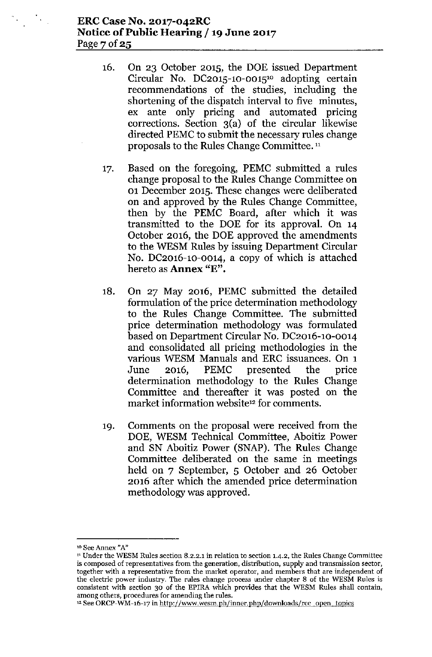- 16. On 23 October 2015, the DOE issued Department Circular No. DC2015-10-0015<sup>10</sup> adopting certain recommendations of the studies, including the shortening of the dispatch interval to five minutes, ex ante only pricing and automated pricing corrections. Section 3(a) of the circular likewise directed PEMC to submit the necessary rules change proposals to the Rules Change Committee.<sup>11</sup>
- 17. Based on the foregoing, PEMC submitted a rules change proposal to the Rules Change Committee on 01 December 2015. These changes were deliberated on and approved by the Rules Change Committee, then by the PEMC Board, after which it was transmitted to the DOE for its approval. On 14 October 2016, the DOE approved the amendments to the WESM Rules by issuing Department Circular No. DC2016-10-0014, a copy of which is attached hereto as Annex "E".
- 18. On 27 May 2016, PEMC submitted the detailed formulation of the price determination methodology to the Rules Change Committee. The submitted price determination methodology was formulated based on Department Circular No. DC2016-10-0014 and consolidated all pricing methodologies in the various WESM Manuals and ERC issuances. On 1 June 2016, PEMC presented the price determination methodology to the Rules Change Committee and thereafter it was posted on the market information website<sup>12</sup> for comments.
- 19. Comments on the proposal were received from the DOE, WESM Technical Committee, Aboitiz Power and SN Aboitiz Power (SNAP). The Rules Change Committee deliberated on the same in meetings held on 7 September, 5 October and 26 October 2016 after which the amended price determination methodology was approved.

<sup>10</sup> See Annex *"A"*

<sup>&</sup>lt;sup>11</sup> Under the WESM Rules section 8.2.2.1 in relation to section 1.4.2, the Rules Change Committee is composed of representatives from the generation, distribution, supply and transmission sector, together with a representative from the market operator, and members that are independent of the electric power industry. The rules change process under chapter 8 of the WESM Rules is consistent with section 30 of the EPlRA which provides that the WESM Rules shall contain, among others, procedures for amending the rules.

<sup>&</sup>lt;sup>12</sup> See ORCP-WM-16-17 in <http://www.wesm.ph/inner.php/downloads/rcc>\_open\_topics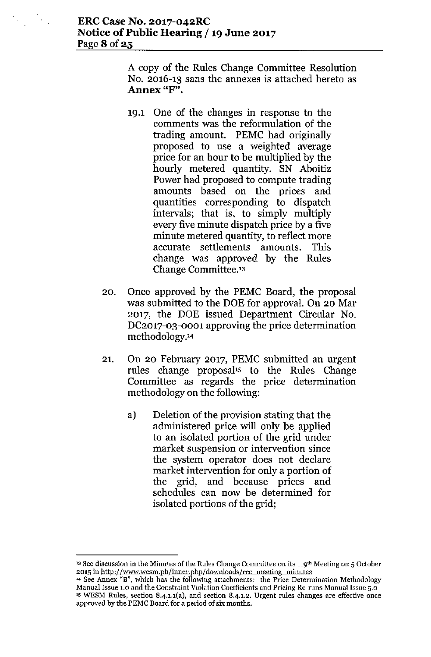$\mathcal{O}(\mathcal{E})$ 

A copy of the Rules Change Committee Resolution No. 2016-13 sans the annexes is attached hereto as **Annex "F".**

- 19.1 One of the changes in response to the comments was the reformulation of the trading amount. PEMC had originally proposed to use a weighted average price for an hour to be multiplied by the hourly metered quantity. SN Aboitiz Power had proposed to compute trading amounts based on the prices and quantities corresponding to dispatch intervals; that is, to simply multiply every five minute dispatch price by a five minute metered quantity, to reflect more accurate settlements amounts. This change was approved by the Rules Change Committee.'3
- 20. Once approved by the PEMC Board, the proposal was submitted to the DOE for approval. On 20 Mar 2017, the DOE issued Department Circular No. DC2017-03-0001 approving the price determination methodology.<sup>14</sup>
- 21. On 20 February 2017, PEMC submitted an urgent rules change proposal's to the Rules Change Committee as regards the price determination methodology on the following:
	- a) Deletion of the provision stating that the administered price will only be applied to an isolated portion of the grid under market suspension or intervention since the system operator does not declare market intervention for only a portion of the grid, and because prices and schedules can now be determined for isolated portions of the grid;

<sup>13</sup> **See discussion in the Minutes of the Rules Change Committee on its 119th Meeting on 5 October 2015 in <http://www.wesm.ph/inner.php/downloads/rcc> meeting minutes**

**<sup>&#</sup>x27;4 See Annex "B", which has the following attachments: the Price Determination Methodology Manual Issue 1.0 and the Constraint Violation Coefficients and Pricing Re-runs Manual Issue 5.0** <sup>15</sup> **WESM Rules, section 8.4.1.1(a), and section 8.4.1.2. Urgent rules changes are effective once approved by the PEMe Board for a period of six months.**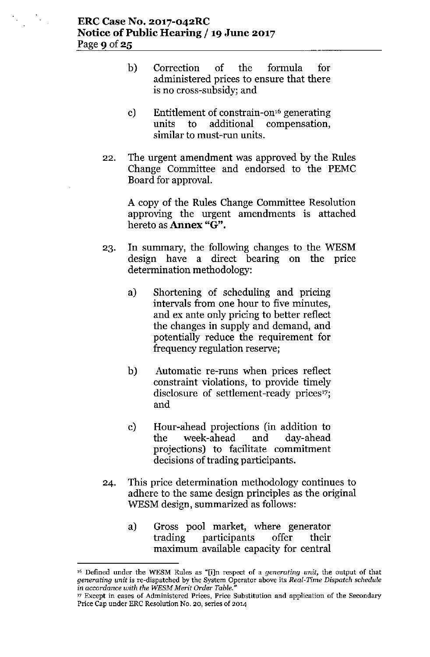- b) Correction of the formula for administered prices to ensure that there is no cross-subsidy; and
- c) Entitlement of constrain-on'6 generating units to additional compensation, similar to must-run units.
- 22. The urgent amendment was approved by the Rules Change Committee and endorsed to the PEMC Board for approval.

A copy of the Rules Change Committee Resolution approving the urgent amendments is attached hereto as **Annex** "G".

- 23. In summary, the following changes to the WESM design have a direct bearing on the price determination methodology:
	- a) Shortening of scheduling and pricing intervals from one hour to five minutes, and ex ante only pricing to better reflect the changes in supply and demand, and potentially reduce the requirement for frequency regulation reserve;
	- b) Automatic re-runs when prices reflect constraint violations, to provide timely disclosure of settlement-ready prices<sup>17</sup>; and
	- c) Hour-ahead projections (in addition to the week-ahead and day-ahead projections) to facilitate commitment decisions of trading participants.
- 24. This price determination methodology continues to adhere to the same design principles as the original WESM design, summarized as follows:
	- a) Gross pool market, where generator trading participants offer their maximum available capacity for central

**<sup>16</sup> Defined under the WESM Rules as "[i]n respect of a** *generating unit,* **the output of that** *generating unit* **is re-dispatched by the System Operator above its** *Real-Time Dispatch schedule* **in** *accordance with the WESM Merit Order Table."*

<sup>17</sup> **Except in cases of Administered Prices, Price Substitution and application of the Secondary Price Cap under ERe Resolution No. 20, series of 2014**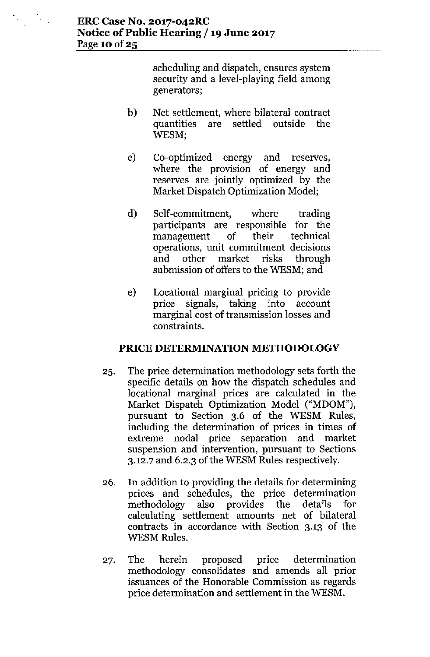$\frac{1}{\sqrt{2}}$ 

scheduling and dispatch, ensures system security and a level-playing field among generators;

- b) Net settlement, where bilateral contract quantities are settled outside the WESM:
- c) Co-optimized energy and reserves, where the provision of energy and reserves are jointly optimized by the Market Dispatch Optimization Model;
- d) Self-commitment, where trading participants are responsible for the management of their technical operations, unit commitment decisions and other market risks through submission of offers to the WESM; and
- e) Locational marginal pricing to provide price signals, taking into account marginal cost of transmission losses and constraints.

## **PRICE DETERMINATION METHODOLOGY**

- 25. The price determination methodology sets forth the specific details on how the dispatch schedules and locational marginal prices are calculated in the Market Dispatch Optimization Model ("MDOM"), pursuant to Section 3.6 of the WESM Rules, including the determination of prices in times of extreme nodal price separation and market suspension and intervention, pursuant to Sections 3.12.7 and 6.2.3 of the WESM Rules respectively.
- 26. **In** addition to providing the details for determining prices and schedules, the price determination methodology also provides the details for calculating settlement amounts net of bilateral contracts in accordance with Section 3.13 of the WESM Rules.
- 27. The herein proposed price determination methodology consolidates and amends all prior issuances of the Honorable Commission as regards price determination and settlement in the WESM.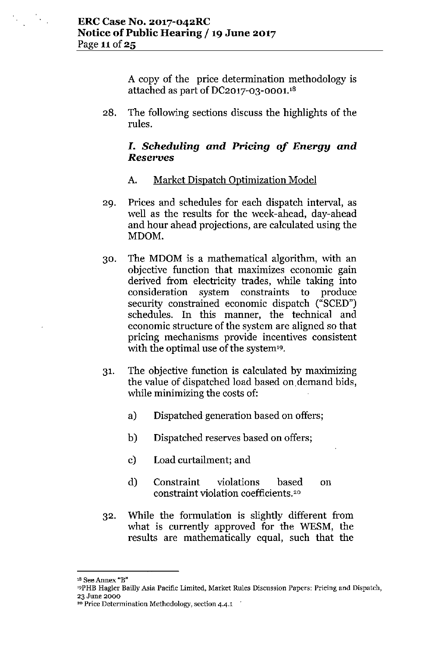Îн,

A copy of the price determination methodology is attached as part of DC2017-03-0001. $18$ 

28. The following sections discuss the highlights of the rules.

# *I. Scheduling and Pricing of Energy and Reserves*

- A. Market Dispatch Optimization Model
- 29. Prices and schedules for each dispatch interval, as well as the results for the week-ahead, day-ahead and hour ahead projections, are calculated using the MDOM.
- 30. The MDOM is a mathematical algorithm, with an objective function that maximizes economic gain derived from electricity trades, while taking into consideration system constraints to produce security constrained economic dispatch ("SCED") schedules. In this manner, the technical and economic structure of the system are aligned so that pricing mechanisms provide incentives consistent with the optimal use of the system<sup>19</sup>.
- 31. The objective function is calculated by maximizing the value of dispatched load based on.demand bids, while minimizing the costs of:
	- a) Dispatched generation based on offers;
	- b) Dispatched reserves based on offers;
	- c) Load curtailment; and
	- d) Constraint violations based constraint violation coefficients.<sup>20</sup> on
- 32. While the formulation is slightly different from what is currently approved for the WESM, the results are mathematically equal, such that the

<sup>18</sup> See Annex "B"

<sup>19</sup>PHBHagler Bailly Asia Pacific Limited, Market Rules Discussion Papers: Pricing and Dispatch, 23 June 2000

<sup>&</sup>lt;sup>20</sup> Price Determination Methodology, section 4.4.1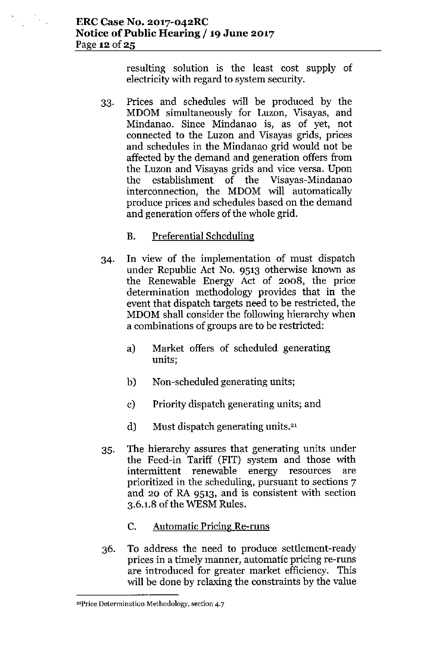Proj

resulting solution is the least cost supply of electricity with regard to system security.

- 33. Prices and schedules will be produced by the MDOM simultaneously for Luzon, Visayas, and Mindanao. Since Mindanao is, as of yet, not connected to the Luzon and Visayas grids, prices and schedules in the Mindanao grid would not be affected by the demand and generation offers from the Luzon and Visayas grids and vice versa. Upon the establishment of the Visayas-Mindanao interconnection, the MDOM will automatically produce prices and schedules based on the demand and generation offers of the whole grid.
	- B. Preferential Scheduling
- 34. **In** view of the implementation of must dispatch under Republic Act No. 9513 otherwise known as the Renewable Energy Act of 2008, the price determination methodology provides that in the event that dispatch targets need to be restricted, the MDOM shall consider the following hierarchy when a combinations of groups are to be restricted:
	- a) Market offers of scheduled generating **units;**
	- b) Non-scheduled generating units;
	- c) Priority dispatch generating units; and
	- d) Must dispatch generating units.<sup>21</sup>
- 35. The hierarchy assures that generating units under the Feed-in Tariff (FIT) system and those with intermittent renewable energy resources are prioritized in the scheduling, pursuant to sections 7 and 20 of RA 9513, and is consistent with section 3.6.1.8 of the WESM Rules.
	- C. Automatic Pricing Re-runs
- 36. To address the need to produce settlement-ready prices in a timely manner, automatic pricing re-runs are introduced for greater market efficiency. This will be done by relaxing the constraints by the value

**<sup>&</sup>quot;'Price Determination Methodology, section 4.7**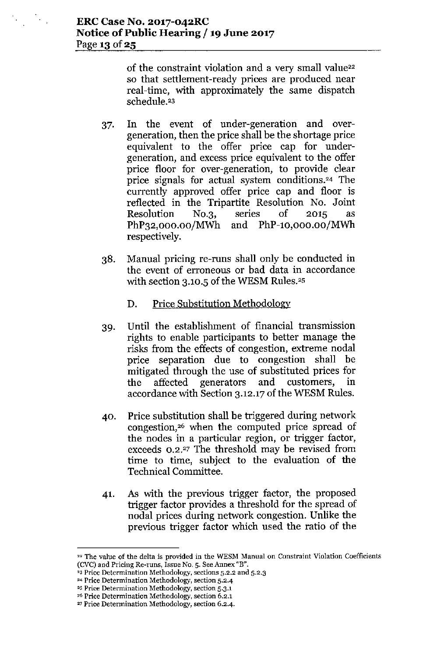$\mathcal{L}_{\mathcal{A}}$ 

of the constraint violation and a very small value<sup>22</sup> so that settlement-ready prices are produced near real-time, with approximately the same dispatch schedule?3

- 37. In the event of under-generation and overgeneration, then the price shall be the shortage price equivalent to the offer price cap for undergeneration, and excess price equivalent to the offer price floor for over-generation, to provide clear price signals for actual system conditions?4 The currently approved offer price cap and floor is reflected in the Tripartite Resolution No. Joint Resolution NO.3, series of 2015 as PhP<sub>32</sub>,000.00/MWh and PhP-10,000.00/MWh respectively.
- 38. Manual pricing re-runs shall only be conducted in the event of erroneous or bad data in accordance with section  $3.10.5$  of the WESM Rules.<sup>25</sup>
	- D. Price Substitution Methodology
- 39. Until the establishment of financial transmission rights to enable participants to better manage the risks from the effects of congestion, extreme nodal price separation due to congestion shall be mitigated through the use of substituted prices for the affected generators and customers, in accordance with Section 3.12.17 of the WESM Rules.
- 40. Price substitution shall be triggered during network congestion,'6 when the computed price spread of the nodes in a particular region, or trigger factor, exceeds 0.2.<sup>2</sup><sup>7</sup> The threshold may be revised from time to time, subject to the evaluation of the Technical Committee.
- 41. As with the previous trigger factor, the proposed trigger factor provides a threshold for the spread of nodal prices during network congestion. Unlike the previous trigger factor which used the ratio of the

- ~ Price Determination Methodology, section 5.2.4
- <sup>25</sup> Price Determination Methodology, section 5.3.1
- <sup>26</sup> Price Determination Methodology, section 6.2.1

<sup>&</sup>lt;sup>22</sup> The value of the delta is provided in the WESM Manual on Constraint Violation Coefficients (CVC) and Pricing Re-runs, Issue No. 5. See Annex "B".

<sup>23</sup> Price Determination Methodology, sections 5.2.2 and 5.2.3

<sup>27</sup> Price Determination Methodology, section 6.2.4.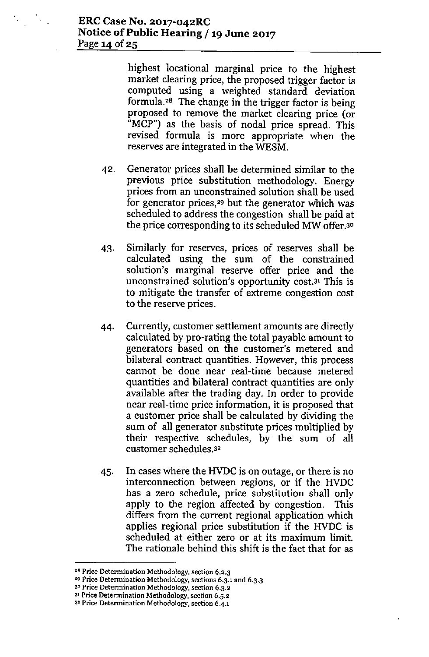highest locational marginal price to the highest market clearing price, the proposed trigger factor is computed using a weighted standard deviation formula.<sup>28</sup> The change in the trigger factor is being proposed to remove the market clearing price (or "MCP") as the basis of nodal price spread. This revised formula is more appropriate when the reserves are integrated in the WESM.

- 42. Generator prices shall be determined similar to the previous price substitution methodology. Energy prices from an unconstrained solution shall be used for generator prices,<sup>29</sup> but the generator which was scheduled to address the congestion shall be paid at the price corresponding to its scheduled MW offer.30
- 43. Similarly for reserves, prices of reserves shall be calculated using the sum of the constrained solution's marginal reserve offer price and the unconstrained solution's opportunity cost.3' This is to mitigate the transfer of extreme congestion cost to the reserve prices.
- 44. Currently, customer settlement amounts are directly calculated by pro-rating the total payable amount to generators based on the customer's metered and bilateral contract quantities. However, this process cannot be done near real-time because metered quantities and bilateral contract quantities are only available after the trading day. In order to provide near real-time price information, it is proposed that a customer price shall be calculated by dividing the sum of all generator substitute prices multiplied by their respective schedules, by the sum of all customer schedules.32
- 45. In cases where the HVDCis on outage, or there is no interconnection between regions, or if the HVDC has a zero schedule, price substitution shall only apply to the region affected by congestion. This differs from the current regional application which applies regional price substitution if the HVDC is scheduled at either zero or at its maximum limit. The rationale behind this shift is the fact that for as

**<sup>28</sup> Price Determination Methodology, section 6.2.3**

**<sup>29</sup> Price Determination Methodology, sections 6.3.1 and 6.3.3**

**<sup>3°</sup> Price Determination Methodology, section 6.3.2**

**<sup>31</sup> Price Determination Methodology, section 6.5.2**

**<sup>3</sup> <sup>2</sup> Price Determination Methodology, section 6.4.1**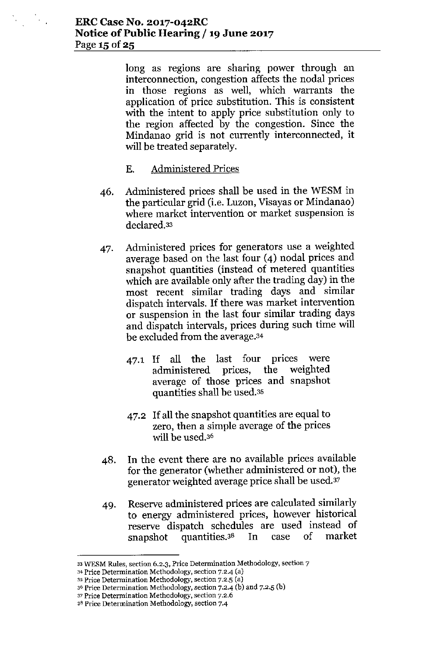long as regions are sharing power through an interconnection, congestion affects the nodal prices in those regions as well, which warrants the application of price substitution. This is consistent with the intent to apply price substitution only to the region affected by the congestion. Since the Mindanao grid is not currently interconnected, it will be treated separately.

## E. Administered Prices

- 46. Administered prices shall be used in the WESM in the particular grid (i.e. Luzon, Visayas or Mindanao) where market intervention or market suspension is declared.33
- 47. Administered prices for generators use a weighted average based on the last four (4) nodal prices and snapshot quantities (instead of metered quantities which are available only after the trading day) in the most recent similar trading days and similar dispatch intervals. If there was market intervention or suspension in the last four similar trading days and dispatch intervals, prices during such time will be excluded from the average.34
	- 47.1 If all the last four prices were<br>administered prices, the weighted administered prices, the average of those prices and snapshot quantities shall be used.35
	- 47.2 If all the snapshot quantities are equal to zero, then a simple average of the prices will be used.36
- 48. In the event there are no available prices available for the generator (whether administered or not), the generator weighted average price shall be used.37
- 49. Reserve administered prices are calculated similarly to energy administered prices, however historical reserve dispatch schedules are used instead of snapshot quantities.3s In case of market

<sup>33</sup> WESM Rules, section 6.2.3, Price Determination Methodology, section 7

<sup>34</sup> Price Determination Methodology, section 7.2.4 (a)

<sup>35</sup> Price Determination Methodology, section 7.2.5 (a)

<sup>36</sup>Price Determination Methodology, section 7.2.4 (b) and 7.2.5 (b)

<sup>37</sup> Price Determination Methodology, section 7.2.6

<sup>38</sup>Price Determination Methodology, section 7.4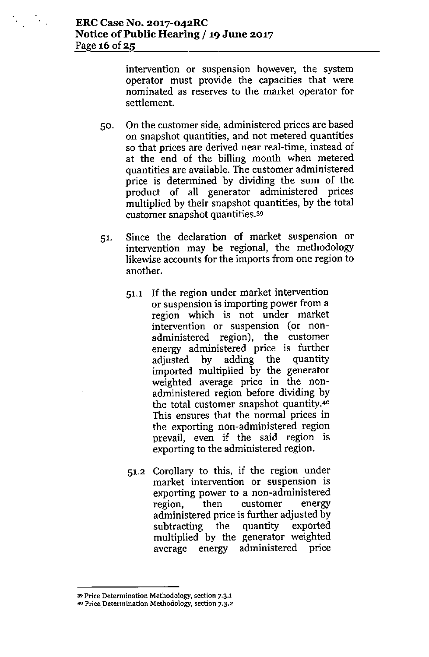intervention or suspension however, the system operator must provide the capacities that were nominated as reserves to the market operator for settlement.

- 50. On the customer side, administered prices are based on snapshot quantities, and not metered quantities so that prices are derived near real-time, instead of at the end of the billing month when metered quantities are available.The customer administered price is determined by dividing the sum of the product of all generator administered prices multiplied by their snapshot quantities, by the total customer snapshot quantities.<sup>39</sup>
- 51. Since the declaration of market suspension or intervention may be regional, the methodology likewise accounts for the imports from one region to another.
	- 51.1 If the region under market intervention or suspension is importing power from a region which is not under market intervention or suspension (or nonadministered region), the customer energy administered price is further adjusted by adding the quantity imported multiplied by the generator weighted average price in the nonadministered region before dividing by the total customer snapshot quantity.4<sup>0</sup> This ensures that the normal prices in the exporting non-administered region prevail, even if the said region is exporting to the administered region.
	- 51.2 Corollary to this, if the region under market intervention or suspension is exporting power to a non-administered region, then customer energy administered price is further adjusted by subtracting the quantity exported multiplied by the generator weighted average energy administered price

<sup>39</sup> **Price Determination Methodology, section** 7.3.1

**<sup>&</sup>quot;,,0 Price .Detennination Methodology, section** 7.3.2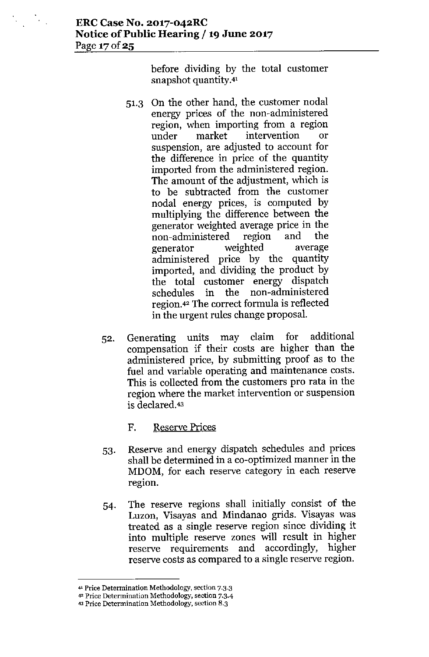before dividing by the total customer snapshot quantity.41

- 51.3 On the other hand, the customer nodal energy prices of the non-administered region, when importing from a region under market intervention or suspension, are adjusted to account for the difference in price of the quantity imported from the administered region. The amount of the adjustment, which is to be subtracted from the customer nodal energy prices, is computed by multiplying the difference between the generator weighted average price in the non-administered region and the generator weighted average administered price by the quantity imported, and dividing the product by the total customer energy dispatch schedules in the non-administered region.42The correct formula is reflected in the urgent rules change proposal.
- 52. Generating units may claim for additional compensation if their costs are higher than the administered price, by submitting proof as to the fuel and variable operating and maintenance costs. This is collected from the customers pro rata in the region where the market intervention or suspension is declared.43

#### F. Reserve Prices

- 53. Reserve and energy dispatch schedules and prices shall be determined in a co-optimized manner in the MDOM, for each reserve category in each reserve region.
- 54. The reserve regions shall initially consist of the Luzon, Visayas and Mindanao grids. Visayas was treated as a single reserve region since dividing it into multiple reserve zones will result in higher reserve requirements and accordingly, higher reserve costs as compared to a single reserve region.

**<sup>4&#</sup>x27; Price Determination Methodology, section 7.3.3**

**<sup>42</sup> Price Determination Methodology, section 7.3.4**

**<sup>43</sup> Price Determination Methodology, section 8.3**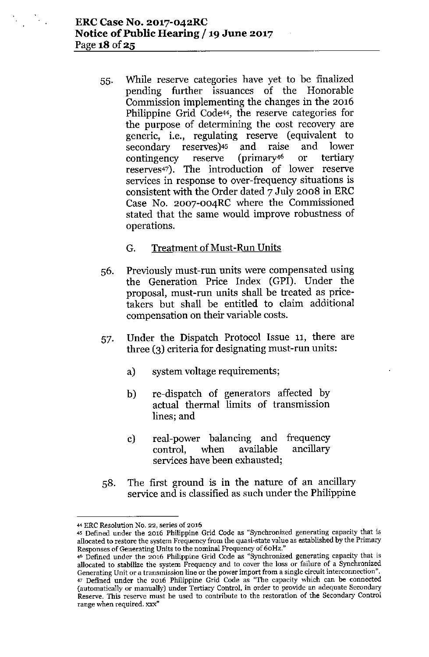- 55. While reserve categories have yet to be finalized pending further issuances of the Honorable Commission implementing the changes in the 2016 Philippine Grid Code<sup>44</sup>, the reserve categories for the purpose of determining the cost recovery are generic, i.e., regulating reserve (equivalent to secondary reserves)<sup>45</sup> and raise and lower<br>contingency reserve (primary<sup>46</sup> or tertiary contingency reserve (primary4<sup>6</sup> or tertiary reserves4?). The introduction of lower reserve services in response to over-frequency situations is consistent with the Order dated 7 July 2008 in ERC Case No. 2007-004RC where the Commissioned stated that the same would improve robustness of operations.
	- G. Treatment of Must-Run Units
- 56. Previously must-run units were compensated using the Generation Price Index (GPI). Under the proposal, must-run units shall be treated as pricetakers but shall be entitled to claim additional compensation on their variable costs.
- 57. Under the Dispatch Protocol Issue 11, there are three (3) criteria for designating must-run units:
	- a) system voltage requirements;
	- b) re-dispatch of generators affected by actual thermal limits of transmission lines; and
	- c) real-power balancing and frequency control, when available ancillary services have been exhausted;
- 58. The first ground is in the nature of an ancillary service and is classified as such under the Philippine

<sup>44</sup>ERe Resolution No. 22, series of 2016

<sup>45</sup> Defined under the 2016 Philippine Grid Code as "Synchronized generating capacity that is allocated to restore the system Frequency from the quasi-state value as established by the Primary Responses of Generating Units to the nominal Frequency of 60Hz."

<sup>46</sup> Defined under the 2016 Philippine Grid Code as "Synchronized generating capacity that is allocated to stabilize the system Frequency and to cover the loss or failure of a Synchronized Generating Unit or a transmission line or the power import from a single circuit interconnection", <sup>47</sup> Defined under the 2016 Philippine Grid Code as "The capacity which can be connected (automatically or manually) under Tertiary Control, in order to provide an adequate Secondary Reserve. This reserve must be used to contribute to the restoration of the Secondary Control range when required. xxx"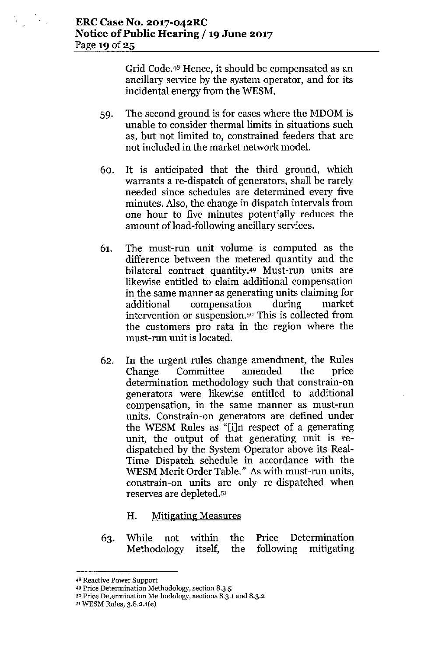Grid Code.<sup>48</sup> Hence, it should be compensated as an ancillary service by the system operator, and for its incidental energy from the WESM.

- 59. The second ground is for cases where the MDOM is unable to consider thermal limits **in** situations such as, but not limited to, constrained feeders that are not included in the market network model.
- 60. It is anticipated that the third ground, which warrants a re-dispatch of generators, shall be rarely needed since schedules are determined every five minutes. Also, the change in dispatch intervals from one hour to five minutes potentially reduces the amount of load-following ancillary services.
- 61. The must-run unit volume is computed as the difference between the metered quantity and the bilateral contract quantity.49 Must-run units are likewise entitled to claim additional compensation in the same manner as generating units claiming for additional compensation during market intervention or suspension.<sup>50</sup> This is collected from the customers pro rata in the region where the must-run unit islocated.
- 62. In the urgent rules change amendment, the Rules Change Committee amended the price determination methodology such that constrain-on generators were likewise entitled to additional compensation, in the same manner as must-run units. Constrain-on generators are defined under the WESM Rules as "[i]n respect of a generating unit, the output of that generating unit is redispatched by the System Operator above its Real-Time Dispatch schedule in accordance with the WESM Merit Order Table." As with must-run units, constrain-on units are only re-dispatched when reserves are depleted.5'
	- H. Mitigating Measures
- While not within the Price Determination 63. Methodology itself, the following mitigating

<sup>4</sup> 8 **Reactive Power Support**

**<sup>49</sup> Price Determination Methodology, section 8.3.5**

<sup>5°</sup> **Price Determination Methodology, sections 8.3.1 and 8.3.2**

**<sup>51</sup> WESM Rules, 3.8.2.1(e)**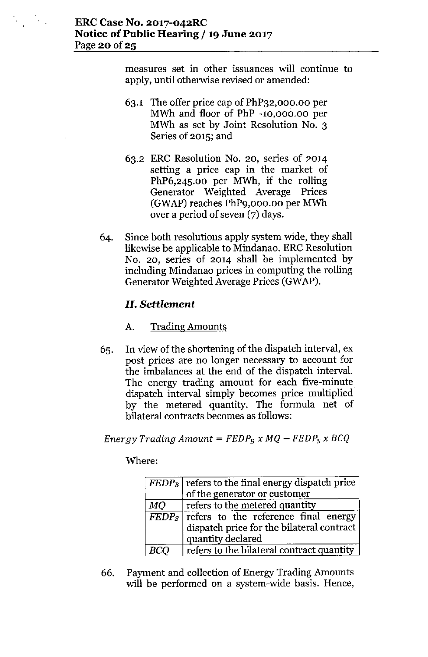$\mathcal{L}_{\text{max}}$ 

measures set in other issuances will continue to apply, until otherwise revised or amended:

- 63.1 The offer price cap of PhP32,000.00 per MWh and floor of PhP -10,000.00 per MWh as set by Joint Resolution No. 3 Series of 2015; and
- 63.2 ERC Resolution No. 20, series of 2014 setting a price cap in the market of PhP6,245.00 per MWh, if the rolling Generator Weighted Average Prices (GWAP) reaches PhP9,000.00 per MWh over a period of seven  $(7)$  days.
- 64. Since both resolutions apply system wide, they shall likewise be applicable to Mindanao. ERC Resolution No. 20, series of 2014 shall be implemented by including Mindanao prices in computing the rolling Generator Weighted Average Prices (GWAP).

## **II.** *Settlement*

## A. Trading Amounts

65. In view of the shortening of the dispatch interval, ex post prices are no longer necessary to account for the imbalances at the end of the dispatch interval. The energy trading amount for each five-minute dispatch interval simply becomes price multiplied by the metered quantity. The formula net of bilateral contracts becomes as follows:

*Energy Trading Amount* =  $FEDP_B \times MQ - FEDP_S \times BCQ$ 

## Where:

|    | $FEDP_B$ refers to the final energy dispatch price<br>of the generator or customer                                              |  |  |
|----|---------------------------------------------------------------------------------------------------------------------------------|--|--|
|    |                                                                                                                                 |  |  |
| MQ | refers to the metered quantity                                                                                                  |  |  |
|    | <b>FEDP</b> <sub>S</sub> refers to the reference final energy<br>dispatch price for the bilateral contract<br>quantity declared |  |  |
|    | refers to the bilateral contract quantity                                                                                       |  |  |

66. Payment and collection of Energy Trading Amounts will be performed on a system-wide basis. Hence,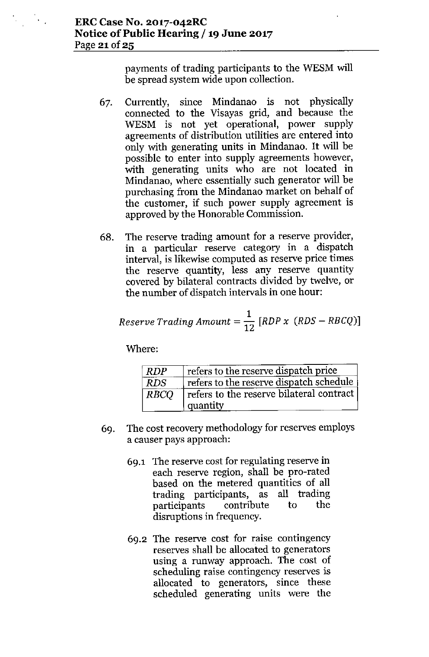$\mathcal{L}_{\text{max}}$ 

payments of trading participants to the WESM will be spread system wide upon collection.

- 67. Currently, since Mindanao is not physically connected to the Visayas grid, and because the WESM is not yet operational, power supply agreements of distribution utilities are entered into only with generating units in Mindanao. It will be possible to enter into supply agreements however, with generating units who are not located in Mindanao, where essentially such generator will be purchasing from the Mindanao market on behalf of the customer, if such power supply agreement is approved by the Honorable Commission.
- 68. The reserve trading amount for a reserve provider, in a particular reserve category in a dispatch interval, is likewise computed as reserve price times the reserve quantity, less any reserve quantity covered by bilateral contracts divided by twelve, or the number of dispatch intervals in one hour:

$$
Reserve\ Trading\ Amount = \frac{1}{12}\ [RDP\ x\ (RDS - RBCQ)]
$$

Where:

| RDP         | refers to the reserve dispatch price     |  |
|-------------|------------------------------------------|--|
| <b>RDS</b>  | refers to the reserve dispatch schedule  |  |
| <b>RBCO</b> | refers to the reserve bilateral contract |  |
|             | quantity                                 |  |

- 69. The cost recovery methodology for reserves employs a causer pays approach:
	- 69.1 The reserve cost for regulating reserve in each reserve region, shall be pro-rated based on the metered quantities of all trading participants, as all trading participants contribute to the disruptions in frequency.
	- 69.2 The reserve cost for raise contingency reserves shall be allocated to generators using a runway approach. The cost of scheduling raise contingency reserves is allocated to generators, since these scheduled generating units were the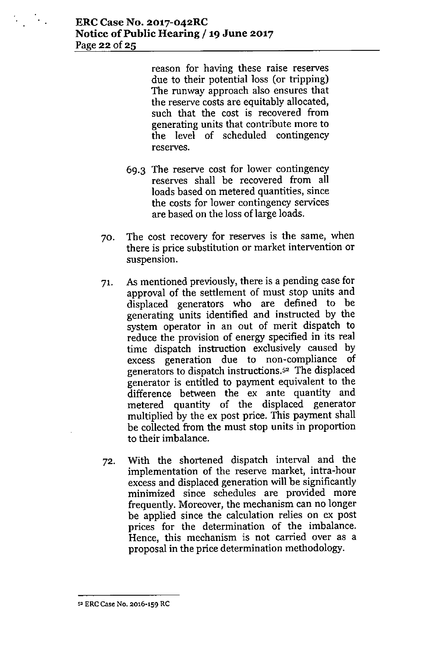reason for having these raise reserves due to their potential loss (or tripping) The runway approach also ensures that the reserve costs are equitably allocated, such that the cost is recovered from generating units that contribute more to the level of scheduled contingency reserves.

- 69.3 The reserve cost for lower contingency reserves shall be recovered from all loads based on metered quantities, since the costs for lower contingency services are based on the loss of large loads.
- 70. The cost recovery for reserves is the same, when there is price substitution or market intervention or suspension.
- 71. As mentioned previously,there is a pending case for approval of the settlement of must stop units and displaced generators who are defined to be generating units identified and instructed by the system operator in an out of merit dispatch to reduce the provision of energy specified in its real time dispatch instruction exclusively caused by excess generation due to non-compliance of generators to dispatch instructions.<sup>52</sup> The displaced generator is entitled to payment equivalent to the difference between the ex ante quantity and metered quantity of the displaced generator multiplied by the ex post price. This payment shall be collected from the must stop units in proportion to their imbalance.
- 72. With the shortened dispatch interval and the implementation of the reserve market, intra-hour excess and displaced generation will be significantly minimized since schedules are provided more frequently. Moreover, the mechanism can no longer be applied since the calculation relies on ex post prices for the determination of the imbalance. Hence, this mechanism is not carried over as a proposal in the price determination methodology.

**<sup>52</sup> ERe Case No. 2016-159 RC**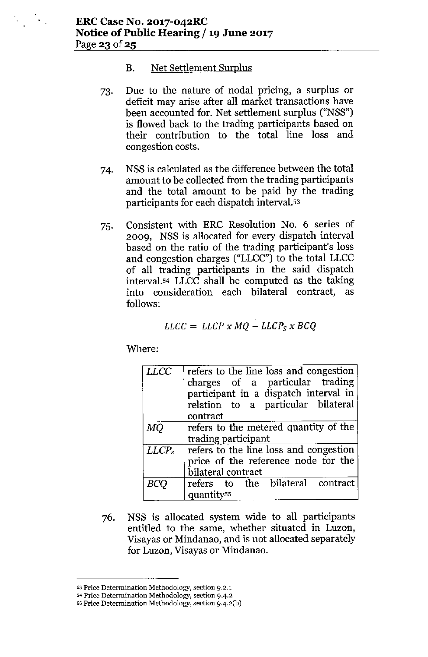$\mathcal{L}_{\text{max}}$ 

## B. Net Settlement Surplus

- 73. Due to the nature of nodal pricing, a surplus or deficit may arise after all market transactions have been accounted for. Net settlement surplus ("NSS") is flowed back to the trading participants based on their contribution to the total line loss and congestion costs.
- 74. NSS is calculated as the difference between the total amount to be collected from the trading participants and the total amount to be paid by the trading participants for each dispatch interval.s3
- 75. Consistent with ERC Resolution No. 6 series of 2009, NSS is allocated for every dispatch interval based on the ratio of the trading participant's loss and congestion charges ("LLCC") to the total LLCC of all trading participants in the said dispatch interval.s4 LLCC shall be computed as the taking into consideration each bilateral contract, as follows:

$$
LLCC = LLCP \times MQ - LLCP_S \times BCQ
$$

Where:

| <b>LLCC</b>       | refers to the line loss and congestion<br>charges of a particular trading<br>participant in a dispatch interval in<br>relation to a particular bilateral<br>contract |  |
|-------------------|----------------------------------------------------------------------------------------------------------------------------------------------------------------------|--|
| ΜQ                | refers to the metered quantity of the<br>trading participant                                                                                                         |  |
| LLCP <sub>s</sub> | refers to the line loss and congestion<br>price of the reference node for the<br>bilateral contract                                                                  |  |
| BCC               | refers to the bilateral contract<br>quantity <sup>55</sup>                                                                                                           |  |

76. NSS is allocated system wide to all participants entitled to the same, whether situated in Luzon, Visayas or Mindanao, and is not allocated separately for Luzon, Visayas or Mindanao.

**5.04 Price Determination Methodology, section 94.2**

<sup>53</sup> **Price Determination Methodology, section 9.2.1**

<sup>55</sup> **Price Determination Methodology, section 9-4.2(b)**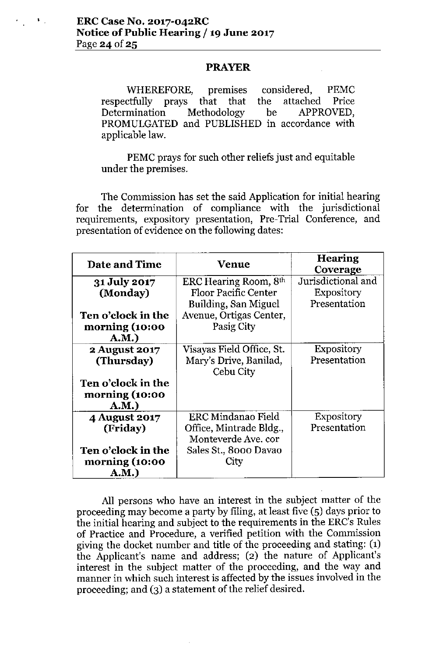#### **PRAYER**

WHEREFORE, premises considered, PEMC respectfully prays that that the attached Price Determination Methodology be APPROVED, PROMULGATED and PUBLISHED in accordance with applicable law.

PEMC prays for such other reliefs just and equitable under the premises.

The Commission has set the said Application for initial hearing for the determination of compliance with the jurisdictional requirements, expository presentation, Pre-Trial Conference, and presentation of evidence on the following dates:

| <b>Date and Time</b>      | Venue                     | <b>Hearing</b><br>Coverage |
|---------------------------|---------------------------|----------------------------|
| <b>31 July 2017</b>       | ERC Hearing Room, 8th     | Jurisdictional and         |
| (Monday)                  | Floor Pacific Center      | <b>Expository</b>          |
|                           | Building, San Miguel      | Presentation               |
| Ten o'clock in the        | Avenue, Ortigas Center,   |                            |
| morning (10:00            | Pasig City                |                            |
| A.M.)                     |                           |                            |
| 2 August 2017             | Visayas Field Office, St. | <b>Expository</b>          |
| (Thursday)                | Mary's Drive, Banilad,    | Presentation               |
|                           | Cebu City                 |                            |
| Ten o'clock in the        |                           |                            |
| morning (10:00            |                           |                            |
| A.M.)                     |                           |                            |
| 4 August 2017             | <b>ERC Mindanao Field</b> | <b>Expository</b>          |
| (Friday)                  | Office, Mintrade Bldg.,   | Presentation               |
|                           | Monteverde Ave. cor       |                            |
| <b>Ten o'clock in the</b> | Sales St., 8000 Davao     |                            |
| morning (10:00            | City                      |                            |
| A.M.)                     |                           |                            |

All persons who have an interest in the subject matter of the proceeding may become a party by filing, at least five (5) days prior to the initial hearing and subject to the requirements in the ERC's Rules of Practice and Procedure, a verified petition with the Commission giving the docket number and title of the proceeding and stating: (1) the Applicant's name and address; (2) the nature of Applicant's interest in the subject matter of the proceeding, and the way and manner in which such interest is affected by the issues involved in the proceeding; and (3) a statement of the relief desired.